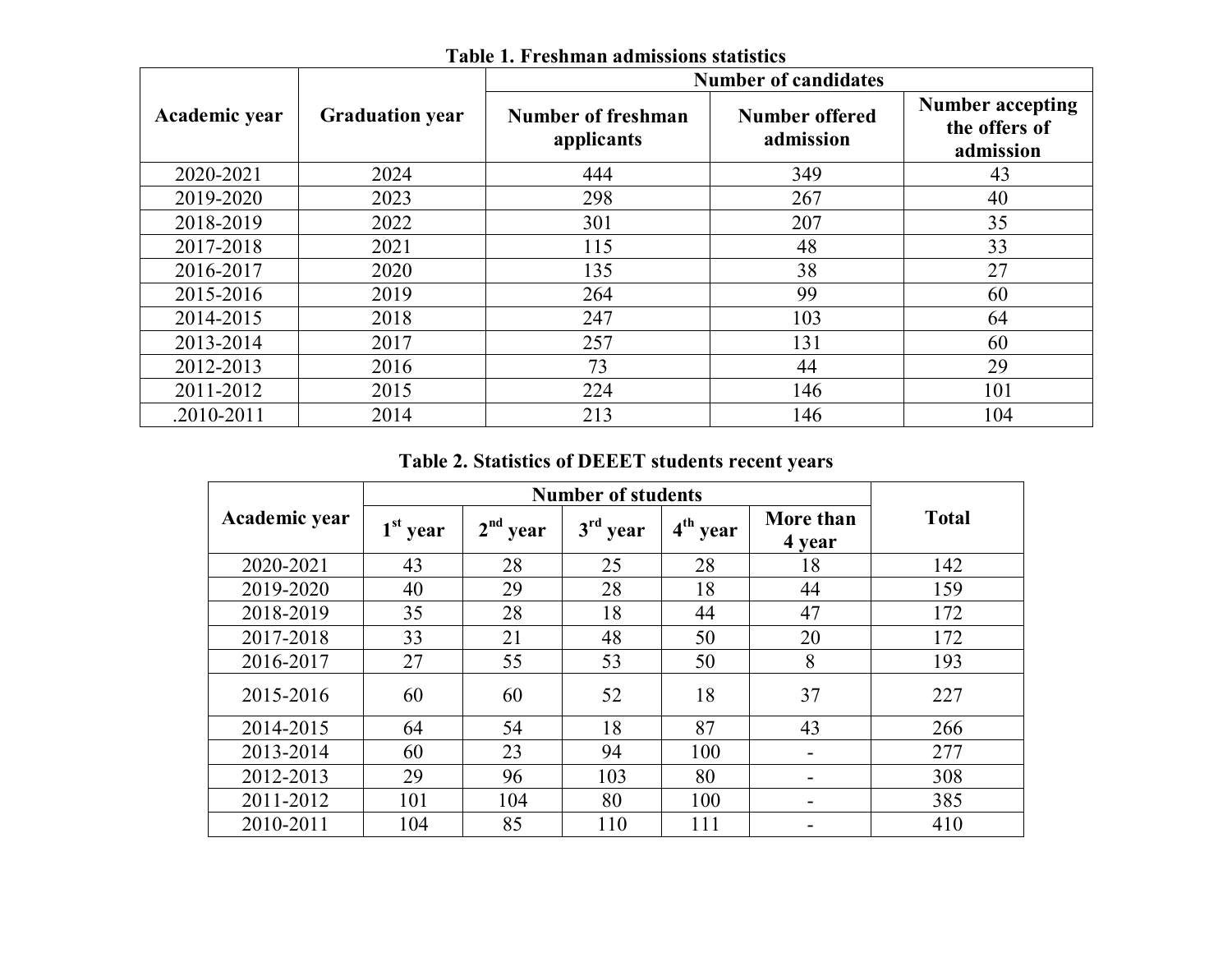|               |                        | <b>Number of candidates</b>      |                                    |                                                       |  |  |  |
|---------------|------------------------|----------------------------------|------------------------------------|-------------------------------------------------------|--|--|--|
| Academic year | <b>Graduation year</b> | Number of freshman<br>applicants | <b>Number offered</b><br>admission | <b>Number accepting</b><br>the offers of<br>admission |  |  |  |
| 2020-2021     | 2024                   | 444                              | 349                                | 43                                                    |  |  |  |
| 2019-2020     | 2023                   | 298                              | 267                                | 40                                                    |  |  |  |
| 2018-2019     | 2022                   | 301                              | 207                                | 35                                                    |  |  |  |
| 2017-2018     | 2021                   | 115                              | 48                                 | 33                                                    |  |  |  |
| 2016-2017     | 2020                   | 135                              | 38                                 | 27                                                    |  |  |  |
| 2015-2016     | 2019                   | 264                              | 99                                 | 60                                                    |  |  |  |
| 2014-2015     | 2018                   | 247                              | 103                                | 64                                                    |  |  |  |
| 2013-2014     | 2017                   | 257                              | 131                                | 60                                                    |  |  |  |
| 2012-2013     | 2016                   | 73                               | 44                                 | 29                                                    |  |  |  |
| 2011-2012     | 2015                   | 224                              | 146                                | 101                                                   |  |  |  |
| .2010-2011    | 2014                   | 213                              | 146                                | 104                                                   |  |  |  |

**Table 1. Freshman admissions statistics**

## **Table 2. Statistics of DEEET students recent years**

| Academic year | $1st$ year | $2nd$ year | $3rd$ year | $4th$ year | More than<br>4 year | <b>Total</b> |  |
|---------------|------------|------------|------------|------------|---------------------|--------------|--|
| 2020-2021     | 43         | 28         | 25         | 28         | 18                  | 142          |  |
| 2019-2020     | 40         | 29         | 28         | 18         | 44                  | 159          |  |
| 2018-2019     | 35         | 28         | 18         | 44         | 47                  | 172          |  |
| 2017-2018     | 33         | 21         | 48         | 50         | 20                  | 172          |  |
| 2016-2017     | 27         | 55         | 53         | 50         | 8                   | 193          |  |
| 2015-2016     | 60         | 60         | 52         | 18         | 37                  | 227          |  |
| 2014-2015     | 64         | 54         | 18         | 87         | 43                  | 266          |  |
| 2013-2014     | 60         | 23         | 94         | 100        |                     | 277          |  |
| 2012-2013     | 29         | 96         | 103        | 80         |                     | 308          |  |
| 2011-2012     | 101        | 104        | 80         | 100        |                     | 385          |  |
| 2010-2011     | 104        | 85         | 110        | 111        |                     | 410          |  |